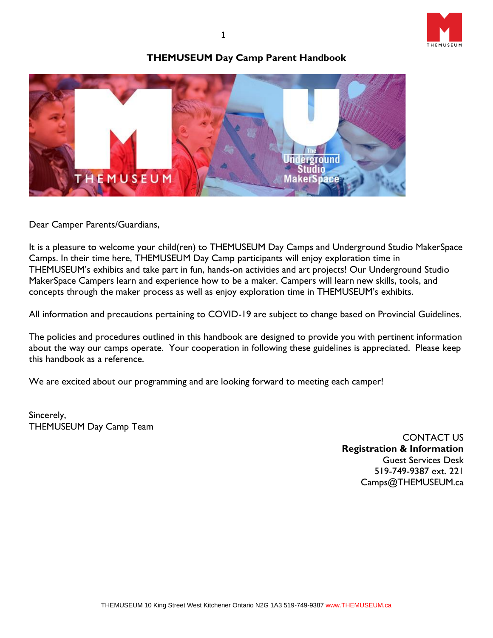

## **THEMUSEUM Day Camp Parent Handbook**



Dear Camper Parents/Guardians,

It is a pleasure to welcome your child(ren) to THEMUSEUM Day Camps and Underground Studio MakerSpace Camps. In their time here, THEMUSEUM Day Camp participants will enjoy exploration time in THEMUSEUM's exhibits and take part in fun, hands-on activities and art projects! Our Underground Studio MakerSpace Campers learn and experience how to be a maker. Campers will learn new skills, tools, and concepts through the maker process as well as enjoy exploration time in THEMUSEUM's exhibits.

All information and precautions pertaining to COVID-19 are subject to change based on Provincial Guidelines.

The policies and procedures outlined in this handbook are designed to provide you with pertinent information about the way our camps operate. Your cooperation in following these guidelines is appreciated. Please keep this handbook as a reference.

We are excited about our programming and are looking forward to meeting each camper!

Sincerely, THEMUSEUM Day Camp Team

> CONTACT US **Registration & Information** Guest Services Desk 519-749-9387 ext. 221 Camps@THEMUSEUM.ca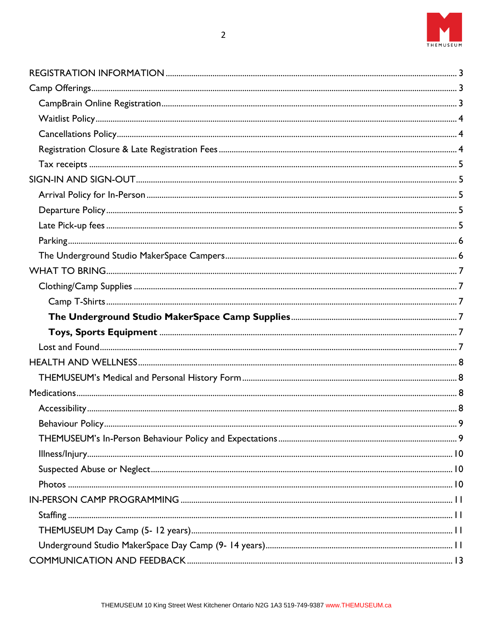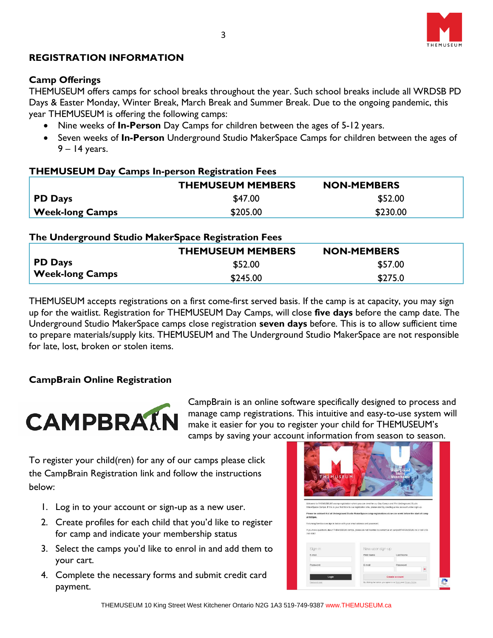

## <span id="page-2-0"></span>**REGISTRATION INFORMATION**

### <span id="page-2-1"></span>**Camp Offerings**

THEMUSEUM offers camps for school breaks throughout the year. Such school breaks include all WRDSB PD Days & Easter Monday, Winter Break, March Break and Summer Break. Due to the ongoing pandemic, this year THEMUSEUM is offering the following camps:

- Nine weeks of **In-Person** Day Camps for children between the ages of 5-12 years.
- Seven weeks of **In-Person** Underground Studio MakerSpace Camps for children between the ages of 9 – 14 years.

#### **THEMUSEUM Day Camps In-person Registration Fees**

|                      | <b>THEMUSEUM MEMBERS</b> | <b>NON-MEMBERS</b> |
|----------------------|--------------------------|--------------------|
| <b>PD</b> Days       | \$47.00                  | \$52.00            |
| $_1$ Week-long Camps | \$205.00                 | \$230.00           |

### **The Underground Studio MakerSpace Registration Fees**

|                        | <b>THEMUSEUM MEMBERS</b> | <b>NON-MEMBERS</b> |
|------------------------|--------------------------|--------------------|
| <b>PD</b> Days         | \$52.00                  | \$57.00            |
| <b>Week-long Camps</b> | \$245.00                 | \$275.0            |

THEMUSEUM accepts registrations on a first come-first served basis. If the camp is at capacity, you may sign up for the waitlist. Registration for THEMUSEUM Day Camps, will close **five days** before the camp date. The Underground Studio MakerSpace camps close registration **seven days** before. This is to allow sufficient time to prepare materials/supply kits. THEMUSEUM and The Underground Studio MakerSpace are not responsible for late, lost, broken or stolen items.

## <span id="page-2-2"></span>**CampBrain Online Registration**



CampBrain is an online software specifically designed to process and manage camp registrations. This intuitive and easy-to-use system will make it easier for you to register your child for THEMUSEUM's camps by saving your account information from season to season.

To register your child(ren) for any of our camps please click the CampBrain Registration link and follow the instructions below:

- 1. Log in to your account or sign-up as a new user.
- 2. Create profiles for each child that you'd like to register for camp and indicate your membership status
- 3. Select the camps you'd like to enrol in and add them to your cart.
- 4. Complete the necessary forms and submit credit card payment.

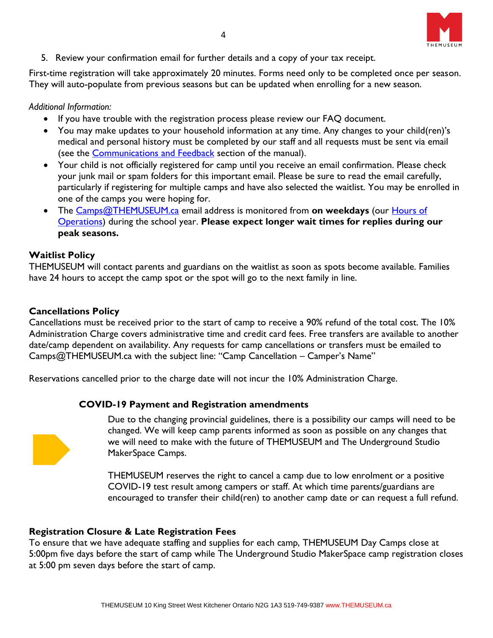

5. Review your confirmation email for further details and a copy of your tax receipt.

First-time registration will take approximately 20 minutes. Forms need only to be completed once per season. They will auto-populate from previous seasons but can be updated when enrolling for a new season.

### *Additional Information:*

- If you have trouble with the registration process please review our FAQ document.
- You may make updates to your household information at any time. Any changes to your child(ren)'s medical and personal history must be completed by our staff and all requests must be sent via email (see the [Communications and Feedback](#page-12-0) section of the manual).
- Your child is not officially registered for camp until you receive an email confirmation. Please check your junk mail or spam folders for this important email. Please be sure to read the email carefully, particularly if registering for multiple camps and have also selected the waitlist. You may be enrolled in one of the camps you were hoping for.
- The [Camps@THEMUSEUM.ca](mailto:Camps@THEMUSEUM.ca) email address is monitored from **on weekdays** (our [Hours of](https://themuseum.ca/plan-your-visit/)  [Operations\)](https://themuseum.ca/plan-your-visit/) during the school year. **Please expect longer wait times for replies during our peak seasons.**

### <span id="page-3-0"></span>**Waitlist Policy**

THEMUSEUM will contact parents and guardians on the waitlist as soon as spots become available. Families have 24 hours to accept the camp spot or the spot will go to the next family in line.

### <span id="page-3-1"></span>**Cancellations Policy**

Cancellations must be received prior to the start of camp to receive a 90% refund of the total cost. The 10% Administration Charge covers administrative time and credit card fees. Free transfers are available to another date/camp dependent on availability. Any requests for camp cancellations or transfers must be emailed to Camps@THEMUSEUM.ca with the subject line: "Camp Cancellation – Camper's Name"

Reservations cancelled prior to the charge date will not incur the 10% Administration Charge.

### **COVID-19 Payment and Registration amendments**



Due to the changing provincial guidelines, there is a possibility our camps will need to be changed. We will keep camp parents informed as soon as possible on any changes that we will need to make with the future of THEMUSEUM and The Underground Studio MakerSpace Camps.

THEMUSEUM reserves the right to cancel a camp due to low enrolment or a positive COVID-19 test result among campers or staff. At which time parents/guardians are encouraged to transfer their child(ren) to another camp date or can request a full refund.

### <span id="page-3-2"></span>**Registration Closure & Late Registration Fees**

To ensure that we have adequate staffing and supplies for each camp, THEMUSEUM Day Camps close at 5:00pm five days before the start of camp while The Underground Studio MakerSpace camp registration closes at 5:00 pm seven days before the start of camp.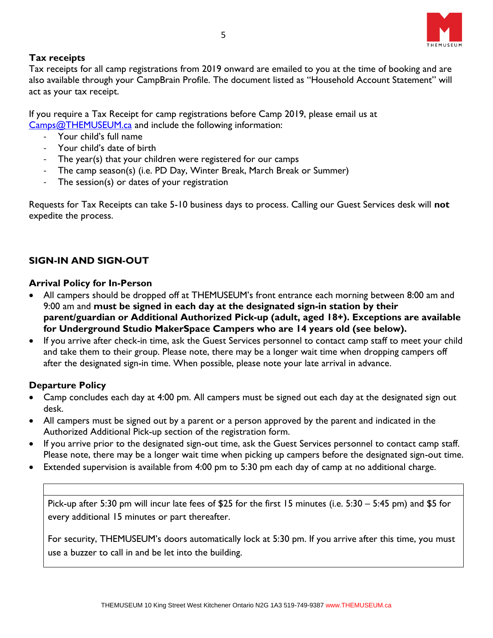

## <span id="page-4-0"></span>**Tax receipts**

Tax receipts for all camp registrations from 2019 onward are emailed to you at the time of booking and are also available through your CampBrain Profile. The document listed as "Household Account Statement" will act as your tax receipt.

If you require a Tax Receipt for camp registrations before Camp 2019, please email us at [Camps@THEMUSEUM.ca](mailto:Camps@THEMUSEUM.ca) and include the following information:

- Your child's full name
- Your child's date of birth
- The year(s) that your children were registered for our camps
- The camp season(s) (i.e. PD Day, Winter Break, March Break or Summer)
- The session(s) or dates of your registration

Requests for Tax Receipts can take 5-10 business days to process. Calling our Guest Services desk will **not** expedite the process.

# <span id="page-4-1"></span>**SIGN-IN AND SIGN-OUT**

## <span id="page-4-2"></span>**Arrival Policy for In-Person**

- All campers should be dropped off at THEMUSEUM's front entrance each morning between 8:00 am and 9:00 am and **must be signed in each day at the designated sign-in station by their parent/guardian or Additional Authorized Pick-up (adult, aged 18+). Exceptions are available for Underground Studio MakerSpace Campers who are 14 years old (see below).**
- If you arrive after check-in time, ask the Guest Services personnel to contact camp staff to meet your child and take them to their group. Please note, there may be a longer wait time when dropping campers off after the designated sign-in time. When possible, please note your late arrival in advance.

## <span id="page-4-3"></span>**Departure Policy**

- Camp concludes each day at 4:00 pm. All campers must be signed out each day at the designated sign out desk.
- All campers must be signed out by a parent or a person approved by the parent and indicated in the Authorized Additional Pick-up section of the registration form.
- If you arrive prior to the designated sign-out time, ask the Guest Services personnel to contact camp staff. Please note, there may be a longer wait time when picking up campers before the designated sign-out time.
- Extended supervision is available from 4:00 pm to 5:30 pm each day of camp at no additional charge.

<span id="page-4-4"></span>Pick-up after 5:30 pm will incur late fees of \$25 for the first 15 minutes (i.e. 5:30 – 5:45 pm) and \$5 for every additional 15 minutes or part thereafter.

For security, THEMUSEUM's doors automatically lock at 5:30 pm. If you arrive after this time, you must use a buzzer to call in and be let into the building.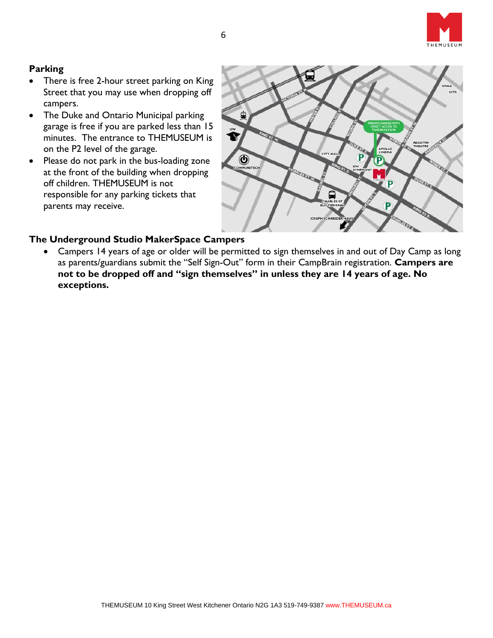

# <span id="page-5-0"></span>**Parking**

- There is free 2-hour street parking on King Street that you may use when dropping off campers.
- The Duke and Ontario Municipal parking garage is free if you are parked less than 15 minutes. The entrance to THEMUSEUM is on the P2 level of the garage.
- Please do not park in the bus-loading zone at the front of the building when dropping off children. THEMUSEUM is not responsible for any parking tickets that parents may receive.



### <span id="page-5-1"></span>**The Underground Studio MakerSpace Campers**

• Campers 14 years of age or older will be permitted to sign themselves in and out of Day Camp as long as parents/guardians submit the "Self Sign-Out" form in their CampBrain registration. **Campers are not to be dropped off and "sign themselves" in unless they are 14 years of age. No exceptions.**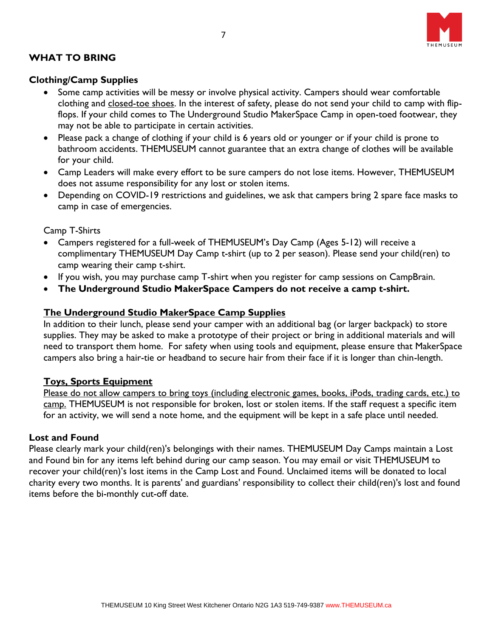

# <span id="page-6-0"></span>**WHAT TO BRING**

### <span id="page-6-1"></span>**Clothing/Camp Supplies**

- Some camp activities will be messy or involve physical activity. Campers should wear comfortable clothing and closed-toe shoes. In the interest of safety, please do not send your child to camp with flipflops. If your child comes to The Underground Studio MakerSpace Camp in open-toed footwear, they may not be able to participate in certain activities.
- Please pack a change of clothing if your child is 6 years old or younger or if your child is prone to bathroom accidents. THEMUSEUM cannot guarantee that an extra change of clothes will be available for your child.
- Camp Leaders will make every effort to be sure campers do not lose items. However, THEMUSEUM does not assume responsibility for any lost or stolen items.
- Depending on COVID-19 restrictions and guidelines, we ask that campers bring 2 spare face masks to camp in case of emergencies.

<span id="page-6-2"></span>Camp T-Shirts

- Campers registered for a full-week of THEMUSEUM's Day Camp (Ages 5-12) will receive a complimentary THEMUSEUM Day Camp t-shirt (up to 2 per season). Please send your child(ren) to camp wearing their camp t-shirt.
- If you wish, you may purchase camp T-shirt when you register for camp sessions on CampBrain.
- **The Underground Studio MakerSpace Campers do not receive a camp t-shirt.**

### <span id="page-6-3"></span>**The Underground Studio MakerSpace Camp Supplies**

In addition to their lunch, please send your camper with an additional bag (or larger backpack) to store supplies. They may be asked to make a prototype of their project or bring in additional materials and will need to transport them home. For safety when using tools and equipment, please ensure that MakerSpace campers also bring a hair-tie or headband to secure hair from their face if it is longer than chin-length.

### <span id="page-6-4"></span>**Toys, Sports Equipment**

Please do not allow campers to bring toys (including electronic games, books, iPods, trading cards, etc.) to camp. THEMUSEUM is not responsible for broken, lost or stolen items. If the staff request a specific item for an activity, we will send a note home, and the equipment will be kept in a safe place until needed.

### <span id="page-6-5"></span>**Lost and Found**

Please clearly mark your child(ren)'s belongings with their names. THEMUSEUM Day Camps maintain a Lost and Found bin for any items left behind during our camp season. You may email or visit THEMUSEUM to recover your child(ren)'s lost items in the Camp Lost and Found. Unclaimed items will be donated to local charity every two months. It is parents' and guardians' responsibility to collect their child(ren)'s lost and found items before the bi-monthly cut-off date.

7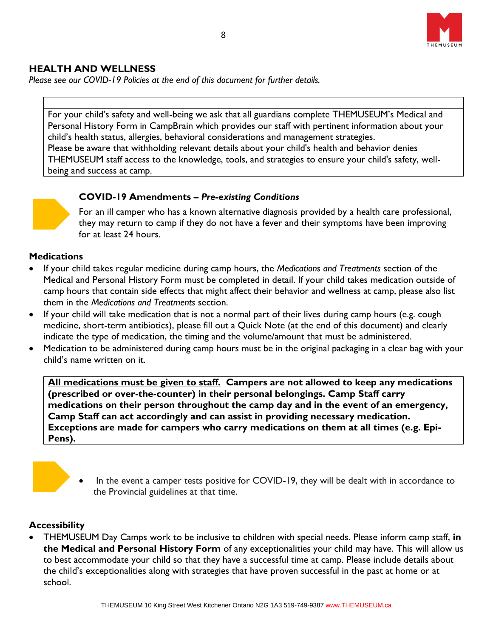

## <span id="page-7-0"></span>**HEALTH AND WELLNESS**

*Please see our COVID-19 Policies at the end of this document for further details.* 

<span id="page-7-1"></span>For your child's safety and well-being we ask that all guardians complete THEMUSEUM's Medical and Personal History Form in CampBrain which provides our staff with pertinent information about your child's health status, allergies, behavioral considerations and management strategies. Please be aware that withholding relevant details about your child's health and behavior denies THEMUSEUM staff access to the knowledge, tools, and strategies to ensure your child's safety, wellbeing and success at camp.



### **COVID-19 Amendments** *– Pre-existing Conditions*

For an ill camper who has a known alternative diagnosis provided by a health care professional, they may return to camp if they do not have a fever and their symptoms have been improving for at least 24 hours.

### <span id="page-7-2"></span>**Medications**

- If your child takes regular medicine during camp hours, the *Medications and Treatments* section of the Medical and Personal History Form must be completed in detail. If your child takes medication outside of camp hours that contain side effects that might affect their behavior and wellness at camp, please also list them in the *Medications and Treatments* section.
- If your child will take medication that is not a normal part of their lives during camp hours (e.g. cough medicine, short-term antibiotics), please fill out a Quick Note (at the end of this document) and clearly indicate the type of medication, the timing and the volume/amount that must be administered.
- Medication to be administered during camp hours must be in the original packaging in a clear bag with your child's name written on it.

**All medications must be given to staff. Campers are not allowed to keep any medications (prescribed or over-the-counter) in their personal belongings. Camp Staff carry medications on their person throughout the camp day and in the event of an emergency, Camp Staff can act accordingly and can assist in providing necessary medication. Exceptions are made for campers who carry medications on them at all times (e.g. Epi-Pens).**



### <span id="page-7-3"></span>**Accessibility**

• THEMUSEUM Day Camps work to be inclusive to children with special needs. Please inform camp staff, **in the Medical and Personal History Form** of any exceptionalities your child may have. This will allow us to best accommodate your child so that they have a successful time at camp. Please include details about the child's exceptionalities along with strategies that have proven successful in the past at home or at school.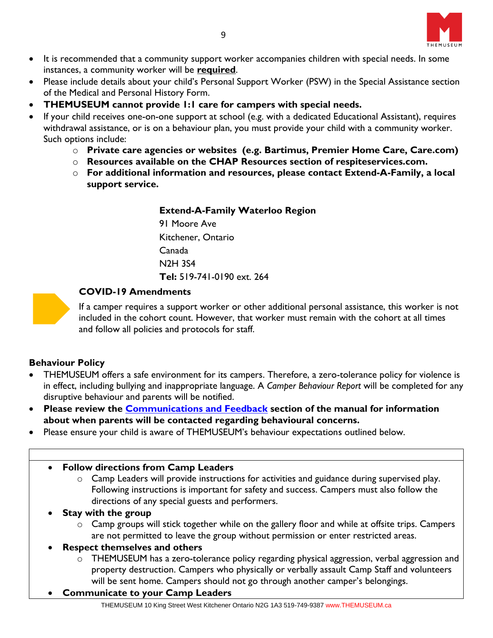

- It is recommended that a community support worker accompanies children with special needs. In some instances, a community worker will be **required**.
- Please include details about your child's Personal Support Worker (PSW) in the Special Assistance section of the Medical and Personal History Form.
- **THEMUSEUM cannot provide 1:1 care for campers with special needs.**
- If your child receives one-on-one support at school (e.g. with a dedicated Educational Assistant), requires withdrawal assistance, or is on a behaviour plan, you must provide your child with a community worker. Such options include:
	- o **Private care agencies or websites (e.g. Bartimus, Premier Home Care, Care.com)**
	- o **Resources available on the CHAP Resources section of respiteservices.com.**
	- o **For additional information and resources, please contact Extend-A-Family, a local support service.**

### **Extend-A-Family Waterloo Region**

91 Moore Ave Kitchener, Ontario Canada N2H 3S4 **Tel:** 519-741-0190 ext. 264

## **COVID-19 Amendments**

If a camper requires a support worker or other additional personal assistance, this worker is not included in the cohort count. However, that worker must remain with the cohort at all times and follow all policies and protocols for staff.

## <span id="page-8-0"></span>**Behaviour Policy**

- THEMUSEUM offers a safe environment for its campers. Therefore, a zero-tolerance policy for violence is in effect, including bullying and inappropriate language. A *Camper Behaviour Report* will be completed for any disruptive behaviour and parents will be notified.
- **Please review the [Communications and Feedback](#page-12-0) section of the manual for information about when parents will be contacted regarding behavioural concerns.**
- Please ensure your child is aware of THEMUSEUM's behaviour expectations outlined below.

### <span id="page-8-1"></span>• **Follow directions from Camp Leaders**

- o Camp Leaders will provide instructions for activities and guidance during supervised play. Following instructions is important for safety and success. Campers must also follow the directions of any special guests and performers.
- **Stay with the group**
	- $\circ$  Camp groups will stick together while on the gallery floor and while at offsite trips. Campers are not permitted to leave the group without permission or enter restricted areas.

## • **Respect themselves and others**

- $\circ$  THEMUSEUM has a zero-tolerance policy regarding physical aggression, verbal aggression and property destruction. Campers who physically or verbally assault Camp Staff and volunteers will be sent home. Campers should not go through another camper's belongings.
- **Communicate to your Camp Leaders**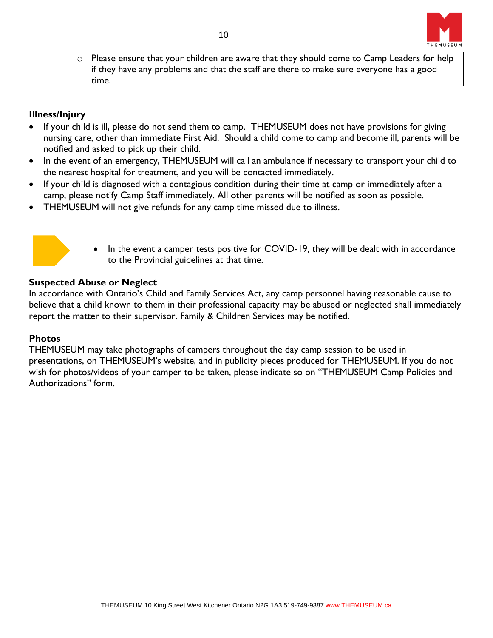

o Please ensure that your children are aware that they should come to Camp Leaders for help if they have any problems and that the staff are there to make sure everyone has a good time.

## <span id="page-9-0"></span>**Illness/Injury**

- If your child is ill, please do not send them to camp. THEMUSEUM does not have provisions for giving nursing care, other than immediate First Aid. Should a child come to camp and become ill, parents will be notified and asked to pick up their child.
- In the event of an emergency, THEMUSEUM will call an ambulance if necessary to transport your child to the nearest hospital for treatment, and you will be contacted immediately.
- If your child is diagnosed with a contagious condition during their time at camp or immediately after a camp, please notify Camp Staff immediately. All other parents will be notified as soon as possible.
- THEMUSEUM will not give refunds for any camp time missed due to illness.



In the event a camper tests positive for COVID-19, they will be dealt with in accordance to the Provincial guidelines at that time.

### <span id="page-9-1"></span>**Suspected Abuse or Neglect**

In accordance with Ontario's Child and Family Services Act, any camp personnel having reasonable cause to believe that a child known to them in their professional capacity may be abused or neglected shall immediately report the matter to their supervisor. Family & Children Services may be notified.

## <span id="page-9-2"></span>**Photos**

THEMUSEUM may take photographs of campers throughout the day camp session to be used in presentations, on THEMUSEUM's website, and in publicity pieces produced for THEMUSEUM. If you do not wish for photos/videos of your camper to be taken, please indicate so on "THEMUSEUM Camp Policies and Authorizations" form.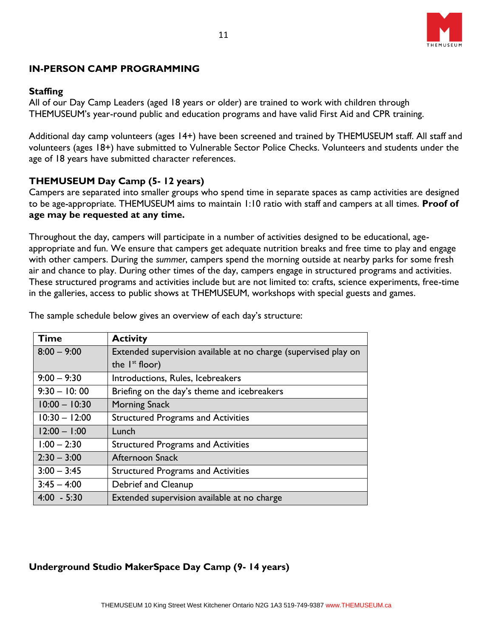

## <span id="page-10-0"></span>**IN-PERSON CAMP PROGRAMMING**

### <span id="page-10-1"></span>**Staffing**

All of our Day Camp Leaders (aged 18 years or older) are trained to work with children through THEMUSEUM's year-round public and education programs and have valid First Aid and CPR training.

Additional day camp volunteers (ages 14+) have been screened and trained by THEMUSEUM staff. All staff and volunteers (ages 18+) have submitted to Vulnerable Sector Police Checks. Volunteers and students under the age of 18 years have submitted character references.

## <span id="page-10-2"></span>**THEMUSEUM Day Camp (5- 12 years)**

Campers are separated into smaller groups who spend time in separate spaces as camp activities are designed to be age-appropriate. THEMUSEUM aims to maintain 1:10 ratio with staff and campers at all times. **Proof of age may be requested at any time.** 

Throughout the day, campers will participate in a number of activities designed to be educational, ageappropriate and fun. We ensure that campers get adequate nutrition breaks and free time to play and engage with other campers. During the *summer*, campers spend the morning outside at nearby parks for some fresh air and chance to play. During other times of the day, campers engage in structured programs and activities. These structured programs and activities include but are not limited to: crafts, science experiments, free-time in the galleries, access to public shows at THEMUSEUM, workshops with special guests and games.

| <b>Time</b>     | <b>Activity</b>                                                 |
|-----------------|-----------------------------------------------------------------|
| $8:00 - 9:00$   | Extended supervision available at no charge (supervised play on |
|                 | the $I^{st}$ floor)                                             |
| $9:00 - 9:30$   | Introductions, Rules, Icebreakers                               |
| $9:30 - 10:00$  | Briefing on the day's theme and icebreakers                     |
| $10:00 - 10:30$ | <b>Morning Snack</b>                                            |
| $10:30 - 12:00$ | <b>Structured Programs and Activities</b>                       |
| $12:00 - 1:00$  | Lunch                                                           |
| $1:00 - 2:30$   | <b>Structured Programs and Activities</b>                       |
| $2:30 - 3:00$   | <b>Afternoon Snack</b>                                          |
| $3:00 - 3:45$   | <b>Structured Programs and Activities</b>                       |
| $3:45 - 4:00$   | Debrief and Cleanup                                             |
| $4:00 - 5:30$   | Extended supervision available at no charge                     |

The sample schedule below gives an overview of each day's structure:

# <span id="page-10-3"></span>**Underground Studio MakerSpace Day Camp (9- 14 years)**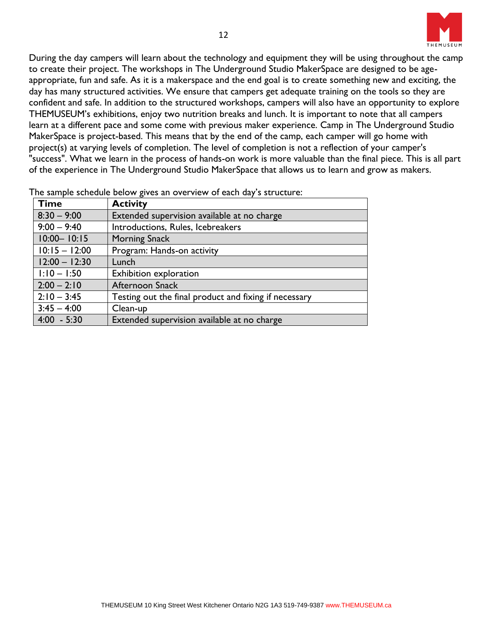

During the day campers will learn about the technology and equipment they will be using throughout the camp to create their project. The workshops in The Underground Studio MakerSpace are designed to be ageappropriate, fun and safe. As it is a makerspace and the end goal is to create something new and exciting, the day has many structured activities. We ensure that campers get adequate training on the tools so they are confident and safe. In addition to the structured workshops, campers will also have an opportunity to explore THEMUSEUM's exhibitions, enjoy two nutrition breaks and lunch. It is important to note that all campers learn at a different pace and some come with previous maker experience. Camp in The Underground Studio MakerSpace is project-based. This means that by the end of the camp, each camper will go home with project(s) at varying levels of completion. The level of completion is not a reflection of your camper's "success". What we learn in the process of hands-on work is more valuable than the final piece. This is all part of the experience in The Underground Studio MakerSpace that allows us to learn and grow as makers.

| <b>Time</b>     | <b>Activity</b>                                       |
|-----------------|-------------------------------------------------------|
| $8:30 - 9:00$   | Extended supervision available at no charge           |
| $9:00 - 9:40$   | Introductions, Rules, Icebreakers                     |
| $10:00 - 10:15$ | <b>Morning Snack</b>                                  |
| $10:15 - 12:00$ | Program: Hands-on activity                            |
| $12:00 - 12:30$ | Lunch                                                 |
| $1:10 - 1:50$   | Exhibition exploration                                |
| $2:00 - 2:10$   | Afternoon Snack                                       |
| $2:10 - 3:45$   | Testing out the final product and fixing if necessary |
| $3:45 - 4:00$   | Clean-up                                              |
| $4:00 - 5:30$   | Extended supervision available at no charge           |

The sample schedule below gives an overview of each day's structure: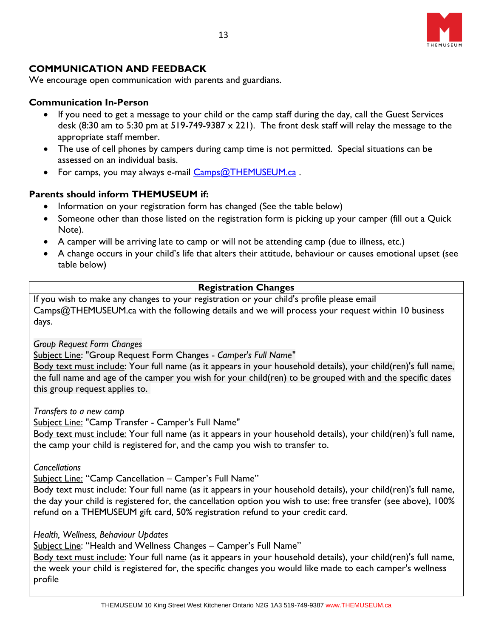

# <span id="page-12-0"></span>**COMMUNICATION AND FEEDBACK**

We encourage open communication with parents and guardians.

### **Communication In-Person**

- If you need to get a message to your child or the camp staff during the day, call the Guest Services desk (8:30 am to 5:30 pm at  $519-749-9387 \times 221$ ). The front desk staff will relay the message to the appropriate staff member.
- The use of cell phones by campers during camp time is not permitted. Special situations can be assessed on an individual basis.
- For camps, you may always e-mail [Camps@THEMUSEUM.ca](mailto:Camps@THEMUSEUM.ca).

## **Parents should inform THEMUSEUM if:**

- Information on your registration form has changed (See the table below)
- Someone other than those listed on the registration form is picking up your camper (fill out a Quick Note).
- A camper will be arriving late to camp or will not be attending camp (due to illness, etc.)
- A change occurs in your child's life that alters their attitude, behaviour or causes emotional upset (see table below)

## **Registration Changes**

If you wish to make any changes to your registration or your child's profile please email Camps@THEMUSEUM.ca with the following details and we will process your request within 10 business days.

*Group Request Form Changes*

Subject Line: "Group Request Form Changes - *Camper's Full Name"*

Body text must include: Your full name (as it appears in your household details), your child(ren)'s full name, the full name and age of the camper you wish for your child(ren) to be grouped with and the specific dates this group request applies to.

*Transfers to a new camp*

Subject Line: "Camp Transfer - Camper's Full Name"

Body text must include: Your full name (as it appears in your household details), your child(ren)'s full name, the camp your child is registered for, and the camp you wish to transfer to.

*Cancellations*

Subject Line: "Camp Cancellation – Camper's Full Name"

Body text must include: Your full name (as it appears in your household details), your child(ren)'s full name, the day your child is registered for, the cancellation option you wish to use: free transfer (see above), 100% refund on a THEMUSEUM gift card, 50% registration refund to your credit card.

*Health, Wellness, Behaviour Updates*

Subject Line: "Health and Wellness Changes – Camper's Full Name"

Body text must include: Your full name (as it appears in your household details), your child(ren)'s full name, the week your child is registered for, the specific changes you would like made to each camper's wellness profile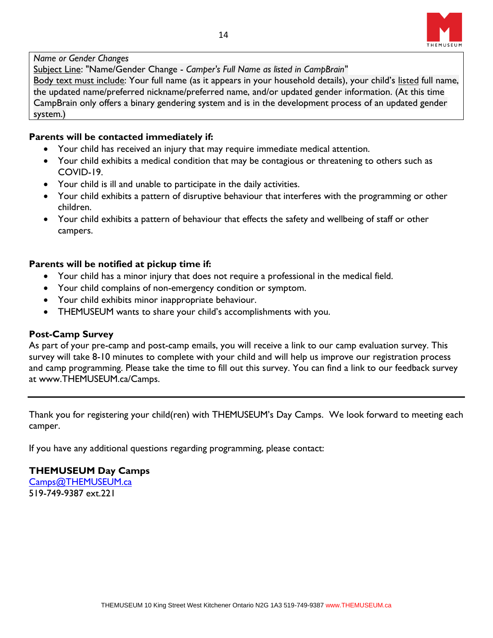

### *Name or Gender Changes*

Subject Line: "Name/Gender Change - *Camper's Full Name as listed in CampBrain"*

Body text must include: Your full name (as it appears in your household details), your child's listed full name, the updated name/preferred nickname/preferred name, and/or updated gender information. (At this time CampBrain only offers a binary gendering system and is in the development process of an updated gender system.)

### **Parents will be contacted immediately if:**

- Your child has received an injury that may require immediate medical attention.
- Your child exhibits a medical condition that may be contagious or threatening to others such as COVID-19.
- Your child is ill and unable to participate in the daily activities.
- Your child exhibits a pattern of disruptive behaviour that interferes with the programming or other children.
- Your child exhibits a pattern of behaviour that effects the safety and wellbeing of staff or other campers.

### **Parents will be notified at pickup time if:**

- Your child has a minor injury that does not require a professional in the medical field.
- Your child complains of non-emergency condition or symptom.
- Your child exhibits minor inappropriate behaviour.
- THEMUSEUM wants to share your child's accomplishments with you.

### **Post-Camp Survey**

As part of your pre-camp and post-camp emails, you will receive a link to our camp evaluation survey. This survey will take 8-10 minutes to complete with your child and will help us improve our registration process and camp programming. Please take the time to fill out this survey. You can find a link to our feedback survey at www.THEMUSEUM.ca/Camps.

Thank you for registering your child(ren) with THEMUSEUM's Day Camps. We look forward to meeting each camper.

If you have any additional questions regarding programming, please contact:

### **THEMUSEUM Day Camps**

[Camps@THEMUSEUM.ca](mailto:Camps@THEMUSEUM.ca) 519-749-9387 ext.221